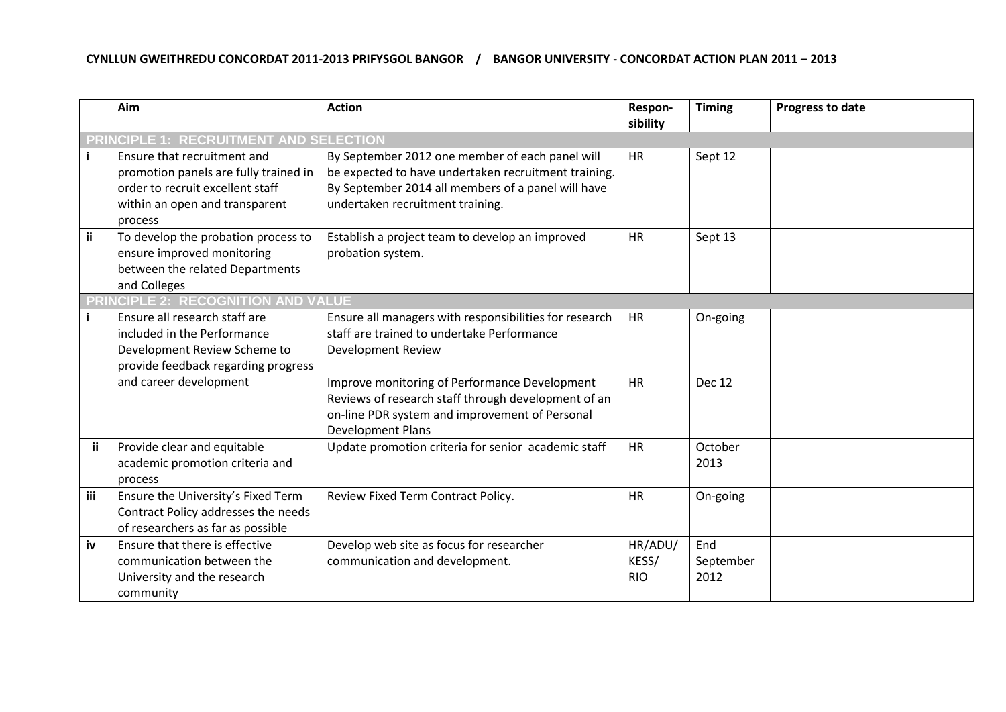## **CYNLLUN GWEITHREDU CONCORDAT 2011-2013 PRIFYSGOL BANGOR / BANGOR UNIVERSITY - CONCORDAT ACTION PLAN 2011 – 2013**

|           | Aim                                                                                                                                                   | <b>Action</b>                                                                                                                                                                                     | Respon-<br>sibility            | <b>Timing</b>            | Progress to date |  |
|-----------|-------------------------------------------------------------------------------------------------------------------------------------------------------|---------------------------------------------------------------------------------------------------------------------------------------------------------------------------------------------------|--------------------------------|--------------------------|------------------|--|
|           | <b>ICIPLE 1: RECRUITMENT AND SELECTIOI</b>                                                                                                            |                                                                                                                                                                                                   |                                |                          |                  |  |
|           | Ensure that recruitment and<br>promotion panels are fully trained in<br>order to recruit excellent staff<br>within an open and transparent<br>process | By September 2012 one member of each panel will<br>be expected to have undertaken recruitment training.<br>By September 2014 all members of a panel will have<br>undertaken recruitment training. | <b>HR</b>                      | Sept 12                  |                  |  |
| <b>ii</b> | To develop the probation process to<br>ensure improved monitoring<br>between the related Departments<br>and Colleges                                  | Establish a project team to develop an improved<br>probation system.                                                                                                                              | <b>HR</b>                      | Sept 13                  |                  |  |
|           | <b>E 2: RECOGNIT</b><br><b>AND VALUE</b><br>ON                                                                                                        |                                                                                                                                                                                                   |                                |                          |                  |  |
|           | Ensure all research staff are<br>included in the Performance<br>Development Review Scheme to<br>provide feedback regarding progress                   | Ensure all managers with responsibilities for research<br>staff are trained to undertake Performance<br>Development Review                                                                        | <b>HR</b>                      | On-going                 |                  |  |
|           | and career development                                                                                                                                | Improve monitoring of Performance Development<br>Reviews of research staff through development of an<br>on-line PDR system and improvement of Personal<br><b>Development Plans</b>                | <b>HR</b>                      | <b>Dec 12</b>            |                  |  |
| ii.       | Provide clear and equitable<br>academic promotion criteria and<br>process                                                                             | Update promotion criteria for senior academic staff                                                                                                                                               | <b>HR</b>                      | October<br>2013          |                  |  |
| iii       | Ensure the University's Fixed Term<br>Contract Policy addresses the needs<br>of researchers as far as possible                                        | Review Fixed Term Contract Policy.                                                                                                                                                                | <b>HR</b>                      | On-going                 |                  |  |
| iv        | Ensure that there is effective<br>communication between the<br>University and the research<br>community                                               | Develop web site as focus for researcher<br>communication and development.                                                                                                                        | HR/ADU/<br>KESS/<br><b>RIO</b> | End<br>September<br>2012 |                  |  |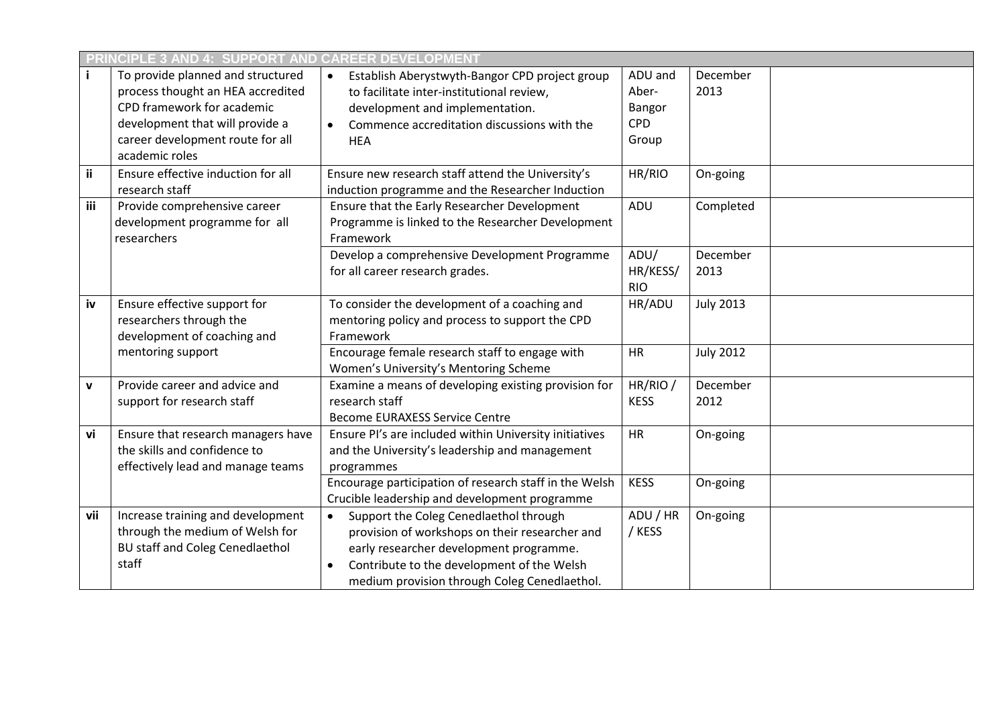|             | CIPLE 3 AND 4: SUPPORT AND CA<br><b>EER DEVELOPN</b>                                                                                                                                          |                                                                                                                                                                                                                                                |                                                   |                  |  |  |
|-------------|-----------------------------------------------------------------------------------------------------------------------------------------------------------------------------------------------|------------------------------------------------------------------------------------------------------------------------------------------------------------------------------------------------------------------------------------------------|---------------------------------------------------|------------------|--|--|
|             | To provide planned and structured<br>process thought an HEA accredited<br>CPD framework for academic<br>development that will provide a<br>career development route for all<br>academic roles | Establish Aberystwyth-Bangor CPD project group<br>to facilitate inter-institutional review,<br>development and implementation.<br>Commence accreditation discussions with the<br><b>HEA</b>                                                    | ADU and<br>Aber-<br>Bangor<br><b>CPD</b><br>Group | December<br>2013 |  |  |
| ii          | Ensure effective induction for all<br>research staff                                                                                                                                          | Ensure new research staff attend the University's<br>induction programme and the Researcher Induction                                                                                                                                          | HR/RIO                                            | On-going         |  |  |
| iii         | Provide comprehensive career<br>development programme for all<br>researchers                                                                                                                  | Ensure that the Early Researcher Development<br>Programme is linked to the Researcher Development<br>Framework                                                                                                                                 | ADU                                               | Completed        |  |  |
|             |                                                                                                                                                                                               | Develop a comprehensive Development Programme<br>for all career research grades.                                                                                                                                                               | ADU/<br>HR/KESS/<br><b>RIO</b>                    | December<br>2013 |  |  |
| iv          | Ensure effective support for<br>researchers through the<br>development of coaching and                                                                                                        | To consider the development of a coaching and<br>mentoring policy and process to support the CPD<br>Framework                                                                                                                                  | HR/ADU                                            | <b>July 2013</b> |  |  |
|             | mentoring support                                                                                                                                                                             | Encourage female research staff to engage with<br>Women's University's Mentoring Scheme                                                                                                                                                        | <b>HR</b>                                         | <b>July 2012</b> |  |  |
| $\mathbf v$ | Provide career and advice and<br>support for research staff                                                                                                                                   | Examine a means of developing existing provision for<br>research staff<br><b>Become EURAXESS Service Centre</b>                                                                                                                                | HR/RIO /<br><b>KESS</b>                           | December<br>2012 |  |  |
| vi          | Ensure that research managers have<br>the skills and confidence to<br>effectively lead and manage teams                                                                                       | Ensure PI's are included within University initiatives<br>and the University's leadership and management<br>programmes                                                                                                                         | HR                                                | On-going         |  |  |
|             |                                                                                                                                                                                               | Encourage participation of research staff in the Welsh<br>Crucible leadership and development programme                                                                                                                                        | <b>KESS</b>                                       | On-going         |  |  |
| vii         | Increase training and development<br>through the medium of Welsh for<br><b>BU staff and Coleg Cenedlaethol</b><br>staff                                                                       | Support the Coleg Cenedlaethol through<br>$\bullet$<br>provision of workshops on their researcher and<br>early researcher development programme.<br>Contribute to the development of the Welsh<br>medium provision through Coleg Cenedlaethol. | ADU / HR<br>/ KESS                                | On-going         |  |  |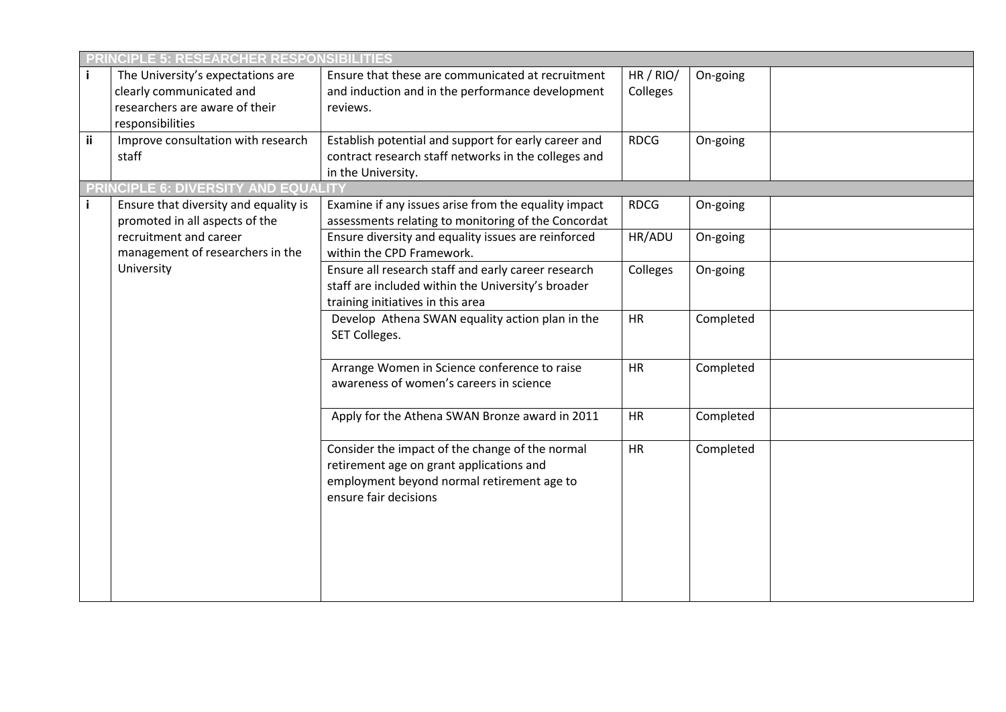|    | <b>LE 5: RESEARCHER RESPOI</b>                                                                                      |                                                                                                                                                                    |                     |           |  |  |
|----|---------------------------------------------------------------------------------------------------------------------|--------------------------------------------------------------------------------------------------------------------------------------------------------------------|---------------------|-----------|--|--|
|    | The University's expectations are<br>clearly communicated and<br>researchers are aware of their<br>responsibilities | Ensure that these are communicated at recruitment<br>and induction and in the performance development<br>reviews.                                                  | HR/RIO/<br>Colleges | On-going  |  |  |
| ii | Improve consultation with research<br>staff                                                                         | Establish potential and support for early career and<br>contract research staff networks in the colleges and<br>in the University.                                 | <b>RDCG</b>         | On-going  |  |  |
|    | <b>PRINCIPLE 6: DIVERSITY</b>                                                                                       |                                                                                                                                                                    |                     |           |  |  |
|    | Ensure that diversity and equality is<br>promoted in all aspects of the                                             | Examine if any issues arise from the equality impact<br>assessments relating to monitoring of the Concordat                                                        | <b>RDCG</b>         | On-going  |  |  |
|    | recruitment and career<br>management of researchers in the                                                          | Ensure diversity and equality issues are reinforced<br>within the CPD Framework.                                                                                   | HR/ADU              | On-going  |  |  |
|    | University                                                                                                          | Ensure all research staff and early career research<br>staff are included within the University's broader<br>training initiatives in this area                     | Colleges            | On-going  |  |  |
|    |                                                                                                                     | Develop Athena SWAN equality action plan in the<br>SET Colleges.                                                                                                   | HR                  | Completed |  |  |
|    |                                                                                                                     | Arrange Women in Science conference to raise<br>awareness of women's careers in science                                                                            | HR                  | Completed |  |  |
|    |                                                                                                                     | Apply for the Athena SWAN Bronze award in 2011                                                                                                                     | <b>HR</b>           | Completed |  |  |
|    |                                                                                                                     | Consider the impact of the change of the normal<br>retirement age on grant applications and<br>employment beyond normal retirement age to<br>ensure fair decisions | <b>HR</b>           | Completed |  |  |